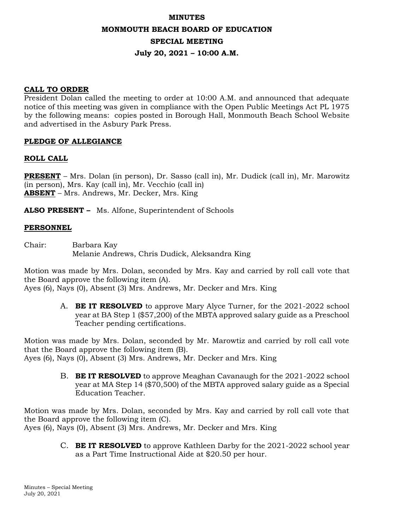# **MINUTES MONMOUTH BEACH BOARD OF EDUCATION SPECIAL MEETING July 20, 2021 – 10:00 A.M.**

## **CALL TO ORDER**

President Dolan called the meeting to order at 10:00 A.M. and announced that adequate notice of this meeting was given in compliance with the Open Public Meetings Act PL 1975 by the following means: copies posted in Borough Hall, Monmouth Beach School Website and advertised in the Asbury Park Press.

# **PLEDGE OF ALLEGIANCE**

# **ROLL CALL**

**PRESENT** – Mrs. Dolan (in person), Dr. Sasso (call in), Mr. Dudick (call in), Mr. Marowitz (in person), Mrs. Kay (call in), Mr. Vecchio (call in) **ABSENT** – Mrs. Andrews, Mr. Decker, Mrs. King

**ALSO PRESENT –** Ms. Alfone, Superintendent of Schools

## **PERSONNEL**

Chair: Barbara Kay Melanie Andrews, Chris Dudick, Aleksandra King

Motion was made by Mrs. Dolan, seconded by Mrs. Kay and carried by roll call vote that the Board approve the following item (A).

Ayes (6), Nays (0), Absent (3) Mrs. Andrews, Mr. Decker and Mrs. King

A. **BE IT RESOLVED** to approve Mary Alyce Turner, for the 2021-2022 school year at BA Step 1 (\$57,200) of the MBTA approved salary guide as a Preschool Teacher pending certifications.

Motion was made by Mrs. Dolan, seconded by Mr. Marowtiz and carried by roll call vote that the Board approve the following item (B). Ayes (6), Nays (0), Absent (3) Mrs. Andrews, Mr. Decker and Mrs. King

> B. **BE IT RESOLVED** to approve Meaghan Cavanaugh for the 2021-2022 school year at MA Step 14 (\$70,500) of the MBTA approved salary guide as a Special Education Teacher.

Motion was made by Mrs. Dolan, seconded by Mrs. Kay and carried by roll call vote that the Board approve the following item (C). Ayes (6), Nays (0), Absent (3) Mrs. Andrews, Mr. Decker and Mrs. King

> C. **BE IT RESOLVED** to approve Kathleen Darby for the 2021-2022 school year as a Part Time Instructional Aide at \$20.50 per hour.